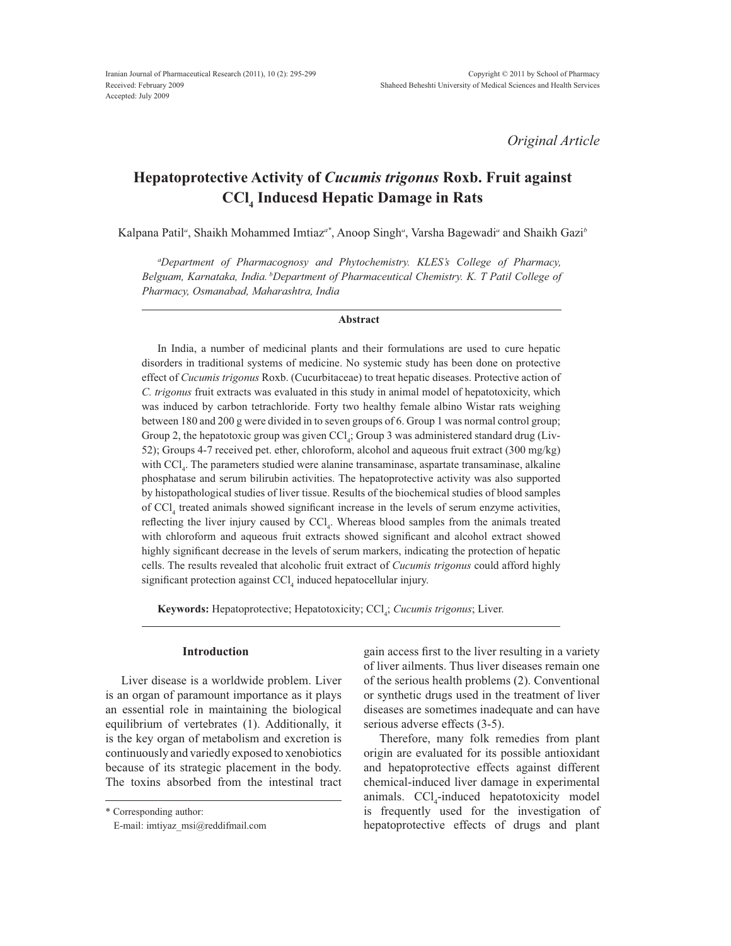*Original Article*

# **Hepatoprotective Activity of** *Cucumis trigonus* **Roxb. Fruit against CCl4 Inducesd Hepatic Damage in Rats**

Kalpana Patil<sup>a</sup>, Shaikh Mohammed Imtiaz<sup>a\*</sup>, Anoop Singh<sup>a</sup>, Varsha Bagewadi<sup>a</sup> and Shaikh Gazi<sup>b</sup>

*a Department of Pharmacognosy and Phytochemistry. KLES's College of Pharmacy, Belguam, Karnataka, India. <sup>b</sup> Department of Pharmaceutical Chemistry. K. T Patil College of Pharmacy, Osmanabad, Maharashtra, India*

#### **Abstract**

In India, a number of medicinal plants and their formulations are used to cure hepatic disorders in traditional systems of medicine. No systemic study has been done on protective effect of *Cucumis trigonus* Roxb. (Cucurbitaceae) to treat hepatic diseases. Protective action of *C. trigonus* fruit extracts was evaluated in this study in animal model of hepatotoxicity, which was induced by carbon tetrachloride. Forty two healthy female albino Wistar rats weighing between 180 and 200 g were divided in to seven groups of 6. Group 1 was normal control group; Group 2, the hepatotoxic group was given  $\text{CCl}_4$ ; Group 3 was administered standard drug (Liv-52); Groups 4-7 received pet. ether, chloroform, alcohol and aqueous fruit extract (300 mg/kg) with CCl<sub>4</sub>. The parameters studied were alanine transaminase, aspartate transaminase, alkaline phosphatase and serum bilirubin activities. The hepatoprotective activity was also supported by histopathological studies of liver tissue. Results of the biochemical studies of blood samples of  $\text{CCl}_4$  treated animals showed significant increase in the levels of serum enzyme activities, reflecting the liver injury caused by  $\text{CCl}_4$ . Whereas blood samples from the animals treated with chloroform and aqueous fruit extracts showed significant and alcohol extract showed highly significant decrease in the levels of serum markers, indicating the protection of hepatic cells. The results revealed that alcoholic fruit extract of *Cucumis trigonus* could afford highly significant protection against  $\text{CCl}_4$  induced hepatocellular injury.

**Keywords:** Hepatoprotective; Hepatotoxicity; CCl<sub>4</sub>; *Cucumis trigonus*; Liver.

### **Introduction**

Liver disease is a worldwide problem. Liver is an organ of paramount importance as it plays an essential role in maintaining the biological equilibrium of vertebrates (1). Additionally, it is the key organ of metabolism and excretion is continuously and variedly exposed to xenobiotics because of its strategic placement in the body. The toxins absorbed from the intestinal tract gain access first to the liver resulting in a variety of liver ailments. Thus liver diseases remain one of the serious health problems (2). Conventional or synthetic drugs used in the treatment of liver diseases are sometimes inadequate and can have serious adverse effects (3-5).

Therefore, many folk remedies from plant origin are evaluated for its possible antioxidant and hepatoprotective effects against different chemical-induced liver damage in experimental animals.  $\text{CCl}_4$ -induced hepatotoxicity model is frequently used for the investigation of hepatoprotective effects of drugs and plant

<sup>\*</sup> Corresponding author:

E-mail: imtiyaz\_msi@reddifmail.com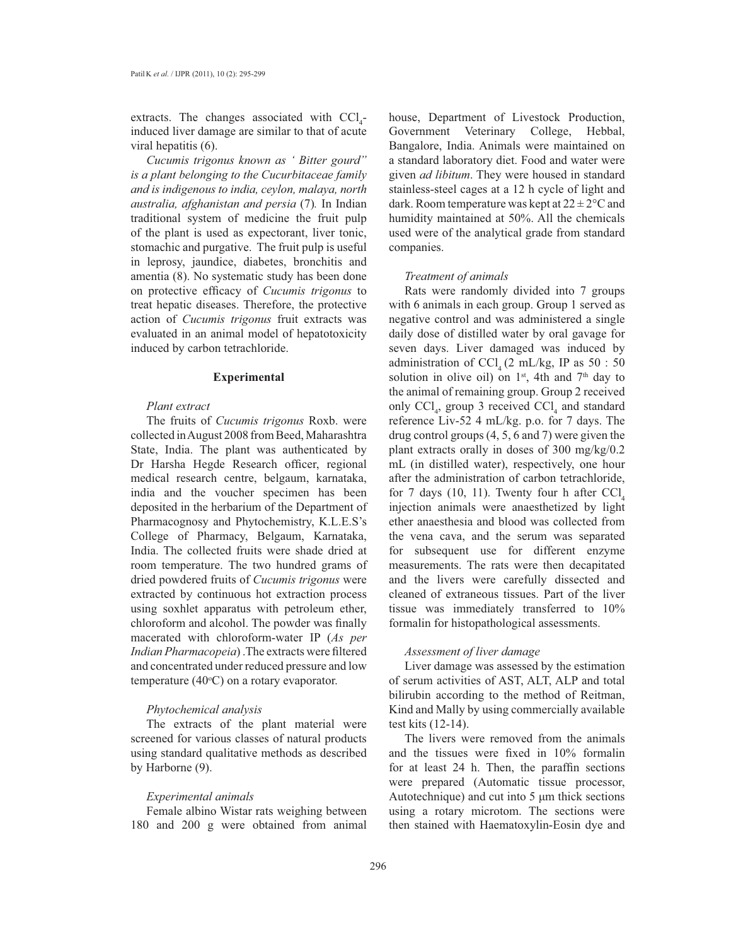extracts. The changes associated with  $\text{CCl}_4$ induced liver damage are similar to that of acute viral hepatitis (6).

*Cucumis trigonus known as ' Bitter gourd" is a plant belonging to the Cucurbitaceae family and is indigenous to india, ceylon, malaya, north australia, afghanistan and persia* (7)*.* In Indian traditional system of medicine the fruit pulp of the plant is used as expectorant, liver tonic, stomachic and purgative. The fruit pulp is useful in leprosy, jaundice, diabetes, bronchitis and amentia (8). No systematic study has been done on protective efficacy of *Cucumis trigonus* to treat hepatic diseases. Therefore, the protective action of *Cucumis trigonus* fruit extracts was evaluated in an animal model of hepatotoxicity induced by carbon tetrachloride.

## **Experimental**

## *Plant extract*

The fruits of *Cucumis trigonus* Roxb. were collected in August 2008 from Beed, Maharashtra State, India. The plant was authenticated by Dr Harsha Hegde Research officer, regional medical research centre, belgaum, karnataka, india and the voucher specimen has been deposited in the herbarium of the Department of Pharmacognosy and Phytochemistry, K.L.E.S's College of Pharmacy, Belgaum, Karnataka, India. The collected fruits were shade dried at room temperature. The two hundred grams of dried powdered fruits of *Cucumis trigonus* were extracted by continuous hot extraction process using soxhlet apparatus with petroleum ether, chloroform and alcohol. The powder was finally macerated with chloroform-water IP (*As per Indian Pharmacopeia*). The extracts were filtered and concentrated under reduced pressure and low temperature  $(40^{\circ}C)$  on a rotary evaporator.

# *Phytochemical analysis*

The extracts of the plant material were screened for various classes of natural products using standard qualitative methods as described by Harborne (9).

# *Experimental animals*

Female albino Wistar rats weighing between 180 and 200 g were obtained from animal house, Department of Livestock Production, Government Veterinary College, Hebbal, Bangalore, India. Animals were maintained on a standard laboratory diet. Food and water were given *ad libitum*. They were housed in standard stainless-steel cages at a 12 h cycle of light and dark. Room temperature was kept at  $22 \pm 2^{\circ}$ C and humidity maintained at 50%. All the chemicals used were of the analytical grade from standard companies.

## *Treatment of animals*

Rats were randomly divided into 7 groups with 6 animals in each group. Group 1 served as negative control and was administered a single daily dose of distilled water by oral gavage for seven days. Liver damaged was induced by administration of  $\text{CCl}_4$  (2 mL/kg, IP as 50 : 50 solution in olive oil) on  $1<sup>st</sup>$ , 4th and  $7<sup>th</sup>$  day to the animal of remaining group. Group 2 received only  $\text{CCl}_4$ , group 3 received  $\text{CCl}_4$  and standard reference Liv-52 4 mL/kg. p.o. for 7 days. The drug control groups (4, 5, 6 and 7) were given the plant extracts orally in doses of 300 mg/kg/0.2 mL (in distilled water), respectively, one hour after the administration of carbon tetrachloride, for 7 days (10, 11). Twenty four h after  $\text{CCl}_4$ injection animals were anaesthetized by light ether anaesthesia and blood was collected from the vena cava, and the serum was separated for subsequent use for different enzyme measurements. The rats were then decapitated and the livers were carefully dissected and cleaned of extraneous tissues. Part of the liver tissue was immediately transferred to 10% formalin for histopathological assessments.

### *Assessment of liver damage*

Liver damage was assessed by the estimation of serum activities of AST, ALT, ALP and total bilirubin according to the method of Reitman, Kind and Mally by using commercially available test kits (12-14).

The livers were removed from the animals and the tissues were fixed in 10% formalin for at least 24 h. Then, the paraffin sections were prepared (Automatic tissue processor, Autotechnique) and cut into  $5 \mu m$  thick sections using a rotary microtom. The sections were then stained with Haematoxylin-Eosin dye and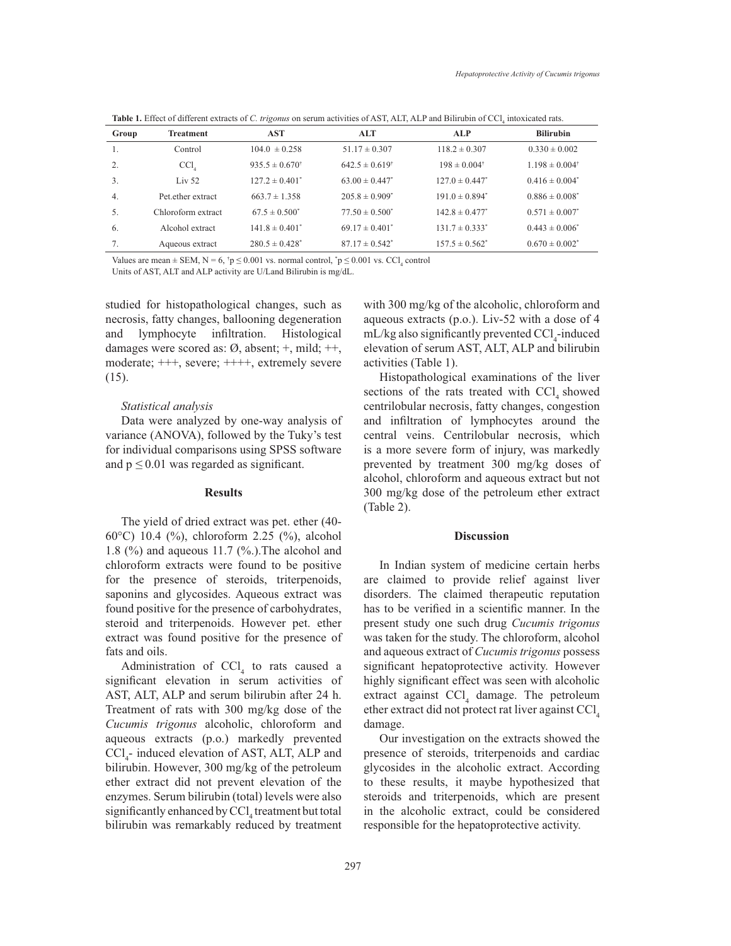Table 1. Effect of different extracts of *C. trigonus* on serum activities of AST, ALT, ALP and Bilirubin of CCl<sub>1</sub> intoxicated rats.

| Group | <b>Treatment</b>   | <b>AST</b>                  | <b>ALT</b>                     | <b>ALP</b>                     | <b>Bilirubin</b>            |
|-------|--------------------|-----------------------------|--------------------------------|--------------------------------|-----------------------------|
| 1.    | Control            | $104.0 \pm 0.258$           | $51.17 \pm 0.307$              | $118.2 \pm 0.307$              | $0.330 \pm 0.002$           |
| 2.    | CCl                | $935.5 \pm 0.670^{\dagger}$ | $642.5 \pm 0.619$ <sup>†</sup> | $198 \pm 0.004^{\dagger}$      | $1.198 \pm 0.004^{\dagger}$ |
| 3.    | Liv $52$           | $127.2 \pm 0.401^*$         | $63.00 \pm 0.447^*$            | $127.0 \pm 0.447^*$            | $0.416 \pm 0.004^*$         |
| 4.    | Pet.ether extract  | $663.7 \pm 1.358$           | $205.8 \pm 0.909$ <sup>*</sup> | $191.0 \pm 0.894$ <sup>*</sup> | $0.886 \pm 0.008^*$         |
| 5.    | Chloroform extract | $67.5 \pm 0.500^*$          | $77.50 \pm 0.500^*$            | $142.8 \pm 0.477$ <sup>*</sup> | $0.571 \pm 0.007^*$         |
| 6.    | Alcohol extract    | $141.8 \pm 0.401^*$         | $69.17 \pm 0.401^*$            | $131.7 \pm 0.333$ <sup>*</sup> | $0.443 \pm 0.006^*$         |
| 7.    | Aqueous extract    | $280.5 \pm 0.428^*$         | $87.17 \pm 0.542^*$            | $157.5 \pm 0.562^*$            | $0.670 \pm 0.002^*$         |

Values are mean  $\pm$  SEM, N = 6,  $\phi$  of  $p \le 0.001$  vs. normal control,  $\phi$  of  $p \le 0.001$  vs. CCl<sub>4</sub> control

Units of AST, ALT and ALP activity are U/Land Bilirubin is mg/dL.

studied for histopathological changes, such as necrosis, fatty changes, ballooning degeneration and lymphocyte infiltration. Histological damages were scored as: Ø, absent; +, mild; ++, moderate; +++, severe; ++++, extremely severe (15).

## *Statistical analysis*

Data were analyzed by one-way analysis of variance (ANOVA), followed by the Tuky's test for individual comparisons using SPSS software and  $p \leq 0.01$  was regarded as significant.

## **Results**

The yield of dried extract was pet. ether (40- 60 $^{\circ}$ C) 10.4 (%), chloroform 2.25 (%), alcohol 1.8 (%) and aqueous 11.7 (%.).The alcohol and chloroform extracts were found to be positive for the presence of steroids, triterpenoids, saponins and glycosides. Aqueous extract was found positive for the presence of carbohydrates, steroid and triterpenoids. However pet. ether extract was found positive for the presence of fats and oils.

Administration of  $\text{CCl}_4$  to rats caused a significant elevation in serum activities of AST, ALT, ALP and serum bilirubin after 24 h. Treatment of rats with 300 mg/kg dose of the *Cucumis trigonus* alcoholic, chloroform and aqueous extracts (p.o.) markedly prevented  $\text{CCl}_4$ - induced elevation of AST, ALT, ALP and bilirubin. However, 300 mg/kg of the petroleum ether extract did not prevent elevation of the enzymes. Serum bilirubin (total) levels were also significantly enhanced by  $\text{CCl}_4$  treatment but total bilirubin was remarkably reduced by treatment

with 300 mg/kg of the alcoholic, chloroform and aqueous extracts (p.o.). Liv-52 with a dose of  $4$ mL/kg also significantly prevented CCl<sub>4</sub>-induced  $H_{4}$  material discrete that  $\text{S}$  and  $\text{S}$   $\text{S}$  and  $\text{S}$   $\text{S}$  and  $\text{S}$   $\text{S}$  and  $\text{S}$   $\text{S}$  and  $\text{S}$   $\text{S}$  and  $\text{S}$   $\text{S}$  and  $\text{S}$   $\text{S}$   $\text{S}$  and  $\text{S}$   $\text{S}$   $\text{S}$  and  $\text$ activities (Table 1).

Histopathological examinations of the liver sections of the rats treated with  $\text{CCI}_4$  showed centrilobular necrosis, fatty changes, congestion and infiltration of lymphocytes around the central veins. Centrilobular necrosis, which is a more severe form of injury, was markedly prevented by treatment 300 mg/kg doses of alcohol, chloroform and aqueous extract but not 300 mg/kg dose of the petroleum ether extract (Table 2).

#### **Discussion**

In Indian system of medicine certain herbs are claimed to provide relief against liver disorders. The claimed therapeutic reputation has to be verified in a scientific manner. In the present study one such drug *Cucumis trigonus*  was taken for the study. The chloroform, alcohol and aqueous extract of *Cucumis trigonus* possess significant hepatoprotective activity. However highly significant effect was seen with alcoholic extract against CCl <sup>4</sup> damage. The petroleum ether extract did not protect rat liver against CCl 4 damage.

Our investigation on the extracts showed the presence of steroids, triterpenoids and cardiac glycosides in the alcoholic extract. According to these results, it maybe hypothesized that steroids and triterpenoids, which are present in the alcoholic extract, could be considered responsible for the hepatoprotective activity.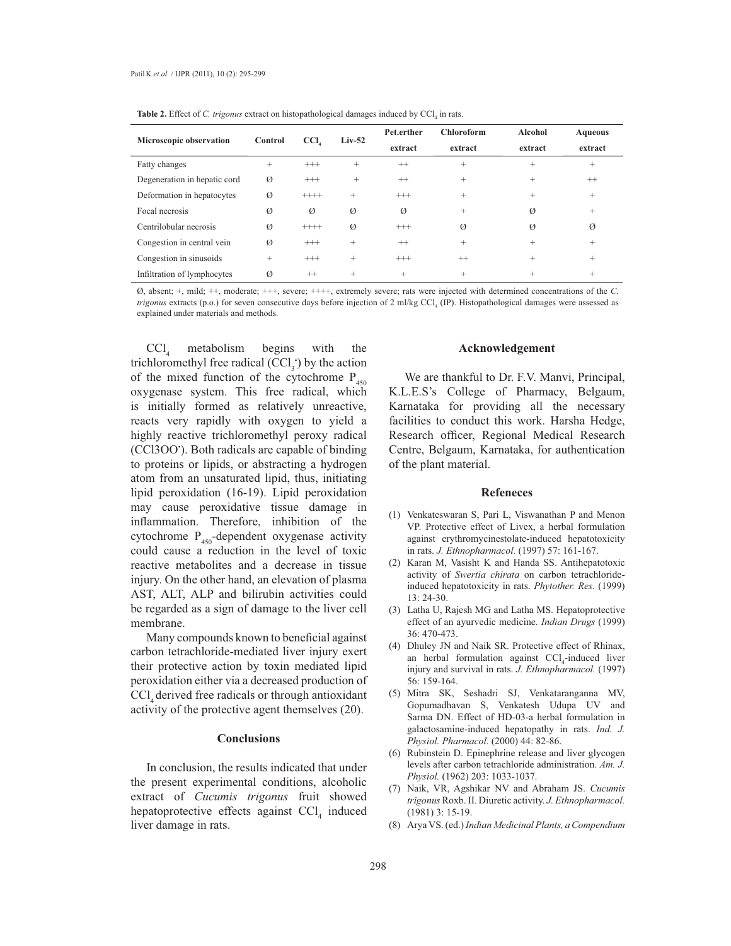| Microscopic observation      | Control       | CCI.     | $Liv-52$      | Pet.erther<br>extract | Chloroform<br>extract | Alcohol<br>extract | <b>Aqueous</b><br>extract |
|------------------------------|---------------|----------|---------------|-----------------------|-----------------------|--------------------|---------------------------|
| Fatty changes                | $^{+}$        | $^{+++}$ | $^{+}$        | $^{++}$               | $+$                   | $+$                | $^{+}$                    |
| Degeneration in hepatic cord | $\varnothing$ | $^{+++}$ | $+$           | $^{++}$               | $+$                   | $+$                | $++$                      |
| Deformation in hepatocytes   | $\varnothing$ | $+++++$  | $+$           | $^{+++}$              | $+$                   | $+$                | $^{+}$                    |
| Focal necrosis               | Ø             | Ø        | Ø             | Ø                     | $+$                   | Ø                  | $^{+}$                    |
| Centrilobular necrosis       | $\varnothing$ | $+++++$  | $\varnothing$ | $^{+++}$              | $\varnothing$         | Ø                  | $\varnothing$             |
| Congestion in central vein   | $\varnothing$ | $^{+++}$ | $+$           | $^{++}$               | $+$                   | $+$                | $+$                       |
| Congestion in sinusoids      | $+$           | $^{+++}$ | $+$           | $^{+++}$              | $^{++}$               | $+$                | $^{+}$                    |
| Infiltration of lymphocytes  | Ø             | $^{++}$  | $+$           | $+$                   | $^{+}$                | $+$                | $^{+}$                    |

**Table 2.** Effect of *C. trigonus* extract on histopathological damages induced by CCl<sub>4</sub> in rats.

Ø, absent; +, mild; ++, moderate; +++, severe; ++++, extremely severe; rats were injected with determined concentrations of the *C. trigonus* extracts (p.o.) for seven consecutive days before injection of 2 ml/kg CCl<sub>4</sub> (IP). Histopathological damages were assessed as explained under materials and methods.

 $CCl<sub>4</sub>$ metabolism begins with the trichloromethyl free radical  $(CCl<sub>3</sub>)$  by the action of the mixed function of the cytochrome  $P_{450}$ oxygenase system. This free radical, which is initially formed as relatively unreactive, reacts very rapidly with oxygen to yield a highly reactive trichloromethyl peroxy radical (CCl3OO ). Both radicals are capable of binding to proteins or lipids, or abstracting a hydrogen atom from an unsaturated lipid, thus, initiating lipid peroxidation (16-19). Lipid peroxidation may cause peroxidative tissue damage in inflammation. Therefore, inhibition of the cytochrome  $P_{450}$ -dependent oxygenase activity could cause a reduction in the level of toxic reactive metabolites and a decrease in tissue injury. On the other hand, an elevation of plasma AST, ALT, ALP and bilirubin activities could be regarded as a sign of damage to the liver cell membrane.

Many compounds known to beneficial against carbon tetrachloride-mediated liver injury exert their protective action by toxin mediated lipid peroxidation either via a decreased production of  $\text{CC}l_{4}$  derived free radicals or through antioxidant activity of the protective agent themselves (20).

### **Conclusions**

In conclusion, the results indicated that under the present experimental conditions, alcoholic extract of *Cucumis trigonus* fruit showed hepatoprotective effects against CCl<sub>4</sub> induced liver damage in rats.

## **Acknowledgement**

We are thankful to Dr. F.V. Manvi, Principal, K.L.E.S's College of Pharmacy, Belgaum, Karnataka for providing all the necessary facilities to conduct this work. Harsha Hedge, Research officer, Regional Medical Research Centre, Belgaum, Karnataka, for authentication of the plant material.

#### **Refeneces**

- (1) Venkateswaran S, Pari L, Viswanathan P and Menon VP. Protective effect of Livex, a herbal formulation against erythromycinestolate-induced hepatotoxicity in rats. *J. Ethnopharmacol.* (1997) 57: 161-167.
- (2) Karan M, Vasisht K and Handa SS. Antihepatotoxic activity of *Swertia chirata* on carbon tetrachlorideinduced hepatotoxicity in rats. *Phytother. Res*. (1999) 13: 24-30.
- (3) Latha U, Rajesh MG and Latha MS. Hepatoprotective effect of an ayurvedic medicine. *Indian Drugs* (1999) 36: 470-473.
- (4) Dhuley JN and Naik SR. Protective effect of Rhinax, an herbal formulation against CCl<sub>4</sub>-induced liver injury and survival in rats. *J. Ethnopharmacol.* (1997) 56: 159-164.
- (5) Mitra SK, Seshadri SJ, Venkataranganna MV, Gopumadhavan S, Venkatesh Udupa UV and Sarma DN. Effect of HD-03-a herbal formulation in galactosamine-induced hepatopathy in rats. *Ind. J. Physiol. Pharmacol.* (2000) 44: 82-86.
- (6) Rubinstein D. Epinephrine release and liver glycogen levels after carbon tetrachloride administration. *Am. J. Physiol.* (1962) 203: 1033-1037.
- Naik, VR, Agshikar NV and Abraham JS. *Cucumis* (7) *trigonus* Roxb. II. Diuretic activity. *J. Ethnopharmacol.* (1981) 3: 15-19.
- Arya VS. (ed.)*Indian Medicinal Plants, a Compendium* (8)